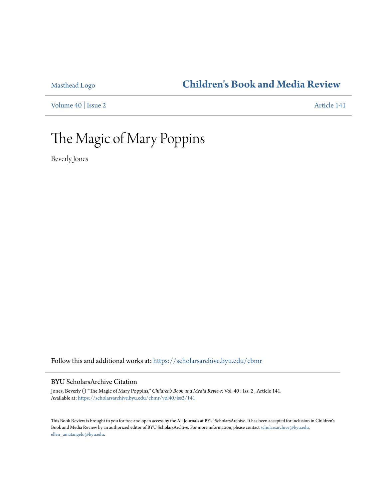### [Masthead Logo](http://home.byu.edu/home/?utm_source=scholarsarchive.byu.edu%2Fcbmr%2Fvol40%2Fiss2%2F141&utm_medium=PDF&utm_campaign=PDFCoverPages) **[Children's Book and Media Review](https://scholarsarchive.byu.edu/cbmr?utm_source=scholarsarchive.byu.edu%2Fcbmr%2Fvol40%2Fiss2%2F141&utm_medium=PDF&utm_campaign=PDFCoverPages)**

[Volume 40](https://scholarsarchive.byu.edu/cbmr/vol40?utm_source=scholarsarchive.byu.edu%2Fcbmr%2Fvol40%2Fiss2%2F141&utm_medium=PDF&utm_campaign=PDFCoverPages) | [Issue 2](https://scholarsarchive.byu.edu/cbmr/vol40/iss2?utm_source=scholarsarchive.byu.edu%2Fcbmr%2Fvol40%2Fiss2%2F141&utm_medium=PDF&utm_campaign=PDFCoverPages) [Article 141](https://scholarsarchive.byu.edu/cbmr/vol40/iss2/141?utm_source=scholarsarchive.byu.edu%2Fcbmr%2Fvol40%2Fiss2%2F141&utm_medium=PDF&utm_campaign=PDFCoverPages)

# The Magic of Mary Poppins

Beverly Jones

Follow this and additional works at: [https://scholarsarchive.byu.edu/cbmr](https://scholarsarchive.byu.edu/cbmr?utm_source=scholarsarchive.byu.edu%2Fcbmr%2Fvol40%2Fiss2%2F141&utm_medium=PDF&utm_campaign=PDFCoverPages)

#### BYU ScholarsArchive Citation

Jones, Beverly () "The Magic of Mary Poppins," *Children's Book and Media Review*: Vol. 40 : Iss. 2 , Article 141. Available at: [https://scholarsarchive.byu.edu/cbmr/vol40/iss2/141](https://scholarsarchive.byu.edu/cbmr/vol40/iss2/141?utm_source=scholarsarchive.byu.edu%2Fcbmr%2Fvol40%2Fiss2%2F141&utm_medium=PDF&utm_campaign=PDFCoverPages)

This Book Review is brought to you for free and open access by the All Journals at BYU ScholarsArchive. It has been accepted for inclusion in Children's Book and Media Review by an authorized editor of BYU ScholarsArchive. For more information, please contact [scholarsarchive@byu.edu,](mailto:scholarsarchive@byu.edu,%20ellen_amatangelo@byu.edu) [ellen\\_amatangelo@byu.edu.](mailto:scholarsarchive@byu.edu,%20ellen_amatangelo@byu.edu)